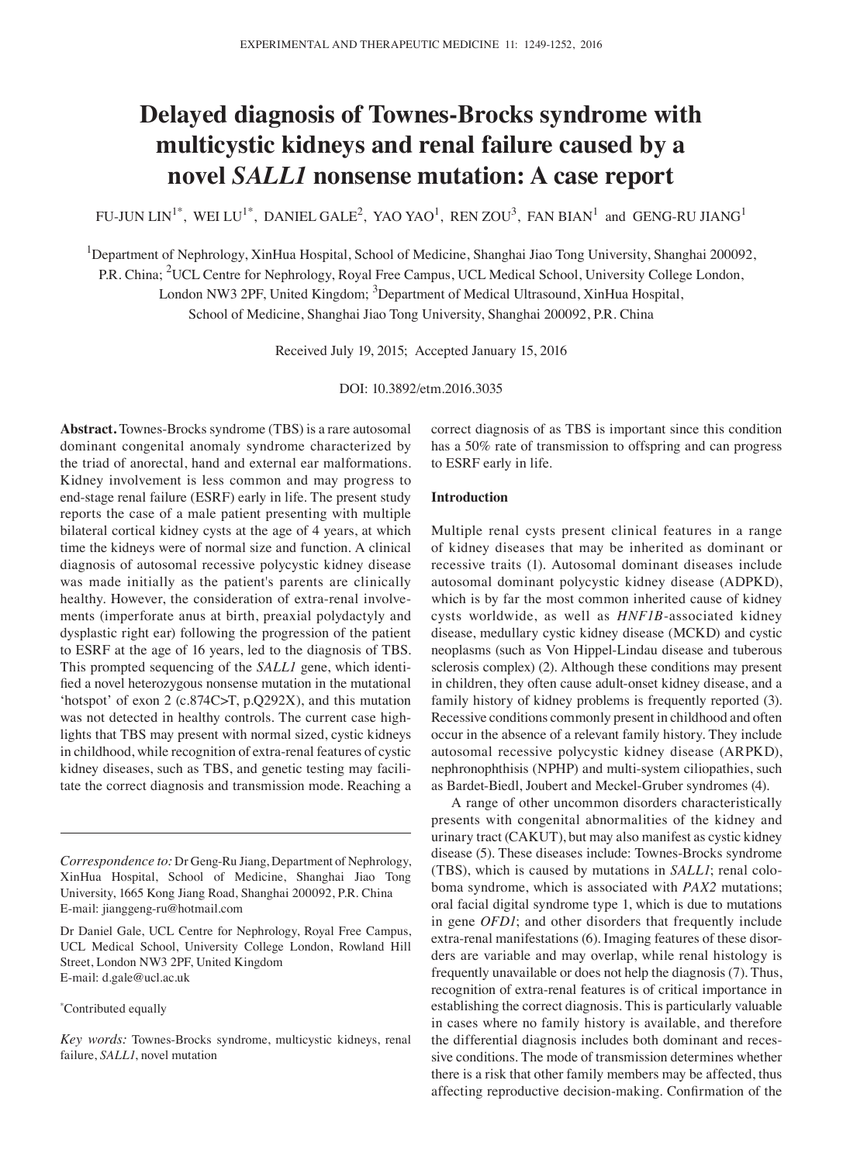# **Delayed diagnosis of Townes‑Brocks syndrome with multicystic kidneys and renal failure caused by a novel** *SALL1* **nonsense mutation: A case report**

FU-JUN LIN $^{1^*}$ , WEI LU $^{1^*}$ , DANIEL GALE $^2$ , YAO YAO $^1$ , REN ZOU $^3$ , FAN BIAN $^1$  and GENG-RU JIANG $^1$ 

<sup>1</sup>Department of Nephrology, XinHua Hospital, School of Medicine, Shanghai Jiao Tong University, Shanghai 200092,

P.R. China; <sup>2</sup>UCL Centre for Nephrology, Royal Free Campus, UCL Medical School, University College London,

London NW3 2PF, United Kingdom; <sup>3</sup>Department of Medical Ultrasound, XinHua Hospital,

School of Medicine, Shanghai Jiao Tong University, Shanghai 200092, P.R. China

Received July 19, 2015; Accepted January 15, 2016

DOI: 10.3892/etm.2016.3035

**Abstract.** Townes-Brocks syndrome (TBS) is a rare autosomal dominant congenital anomaly syndrome characterized by the triad of anorectal, hand and external ear malformations. Kidney involvement is less common and may progress to end-stage renal failure (ESRF) early in life. The present study reports the case of a male patient presenting with multiple bilateral cortical kidney cysts at the age of 4 years, at which time the kidneys were of normal size and function. A clinical diagnosis of autosomal recessive polycystic kidney disease was made initially as the patient's parents are clinically healthy. However, the consideration of extra-renal involvements (imperforate anus at birth, preaxial polydactyly and dysplastic right ear) following the progression of the patient to ESRF at the age of 16 years, led to the diagnosis of TBS. This prompted sequencing of the *SALL1* gene, which identified a novel heterozygous nonsense mutation in the mutational 'hotspot' of exon 2 (c.874C>T, p.Q292X), and this mutation was not detected in healthy controls. The current case highlights that TBS may present with normal sized, cystic kidneys in childhood, while recognition of extra-renal features of cystic kidney diseases, such as TBS, and genetic testing may facilitate the correct diagnosis and transmission mode. Reaching a

#### \* Contributed equally

*Key words:* Townes-Brocks syndrome, multicystic kidneys, renal failure, *SALL1*, novel mutation

correct diagnosis of as TBS is important since this condition has a 50% rate of transmission to offspring and can progress to ESRF early in life.

#### **Introduction**

Multiple renal cysts present clinical features in a range of kidney diseases that may be inherited as dominant or recessive traits (1). Autosomal dominant diseases include autosomal dominant polycystic kidney disease (ADPKD), which is by far the most common inherited cause of kidney cysts worldwide, as well as *HNF1B*-associated kidney disease, medullary cystic kidney disease (MCKD) and cystic neoplasms (such as Von Hippel-Lindau disease and tuberous sclerosis complex) (2). Although these conditions may present in children, they often cause adult-onset kidney disease, and a family history of kidney problems is frequently reported (3). Recessive conditions commonly present in childhood and often occur in the absence of a relevant family history. They include autosomal recessive polycystic kidney disease (ARPKD), nephronophthisis (NPHP) and multi-system ciliopathies, such as Bardet-Biedl, Joubert and Meckel-Gruber syndromes (4).

A range of other uncommon disorders characteristically presents with congenital abnormalities of the kidney and urinary tract (CAKUT), but may also manifest as cystic kidney disease (5). These diseases include: Townes-Brocks syndrome (TBS), which is caused by mutations in *SALL1*; renal coloboma syndrome, which is associated with *PAX2* mutations; oral facial digital syndrome type 1, which is due to mutations in gene *OFD1*; and other disorders that frequently include extra-renal manifestations (6). Imaging features of these disorders are variable and may overlap, while renal histology is frequently unavailable or does not help the diagnosis (7). Thus, recognition of extra-renal features is of critical importance in establishing the correct diagnosis. This is particularly valuable in cases where no family history is available, and therefore the differential diagnosis includes both dominant and recessive conditions. The mode of transmission determines whether there is a risk that other family members may be affected, thus affecting reproductive decision‑making. Confirmation of the

*Correspondence to:* Dr Geng-Ru Jiang, Department of Nephrology, XinHua Hospital, School of Medicine, Shanghai Jiao Tong University, 1665 Kong Jiang Road, Shanghai 200092, P.R. China E-mail: jianggeng-ru@hotmail.com

Dr Daniel Gale, UCL Centre for Nephrology, Royal Free Campus, UCL Medical School, University College London, Rowland Hill Street, London NW3 2PF, United Kingdom E-mail: d.gale@ucl.ac.uk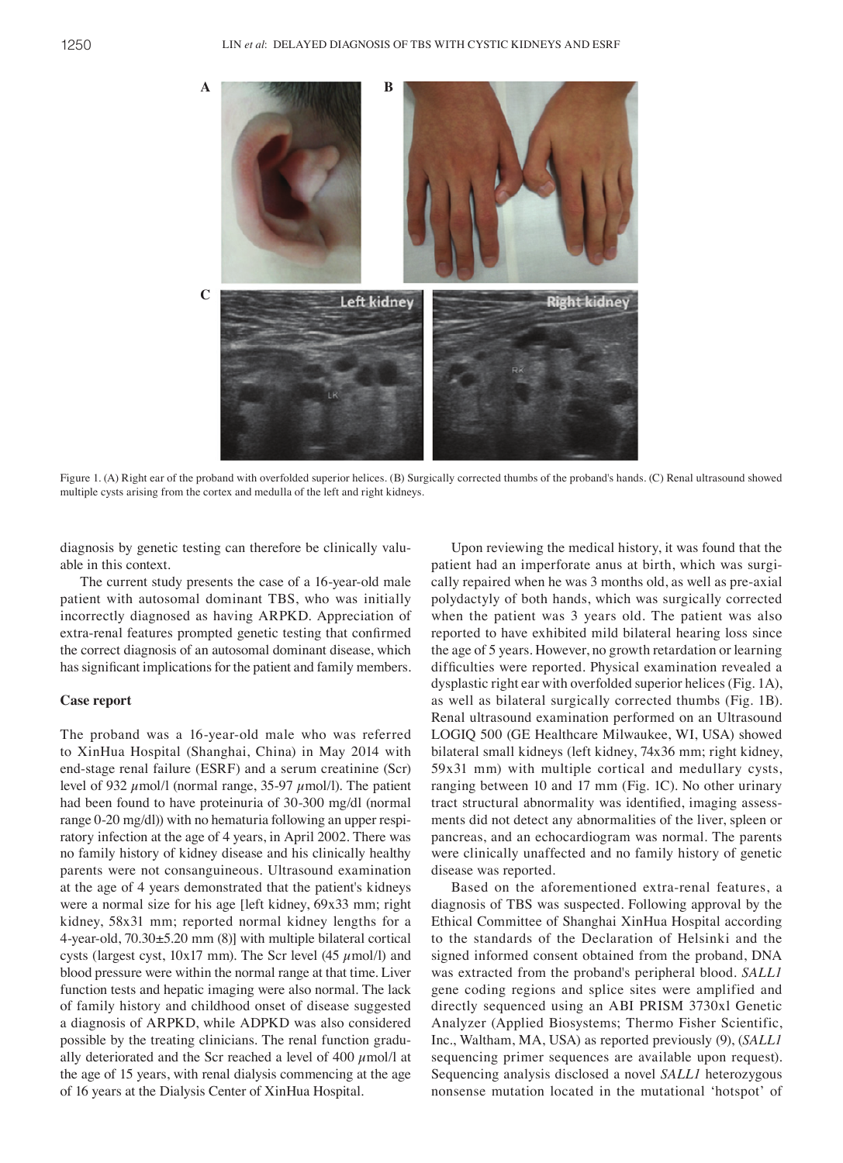

Figure 1. (A) Right ear of the proband with overfolded superior helices. (B) Surgically corrected thumbs of the proband's hands. (C) Renal ultrasound showed multiple cysts arising from the cortex and medulla of the left and right kidneys.

diagnosis by genetic testing can therefore be clinically valuable in this context.

The current study presents the case of a 16-year-old male patient with autosomal dominant TBS, who was initially incorrectly diagnosed as having ARPKD. Appreciation of extra-renal features prompted genetic testing that confirmed the correct diagnosis of an autosomal dominant disease, which has significant implications for the patient and family members.

#### **Case report**

The proband was a 16-year-old male who was referred to XinHua Hospital (Shanghai, China) in May 2014 with end-stage renal failure (ESRF) and a serum creatinine (Scr) level of 932  $\mu$ mol/l (normal range, 35-97  $\mu$ mol/l). The patient had been found to have proteinuria of 30-300 mg/dl (normal range 0-20 mg/dl)) with no hematuria following an upper respiratory infection at the age of 4 years, in April 2002. There was no family history of kidney disease and his clinically healthy parents were not consanguineous. Ultrasound examination at the age of 4 years demonstrated that the patient's kidneys were a normal size for his age [left kidney, 69x33 mm; right kidney, 58x31 mm; reported normal kidney lengths for a 4-year-old, 70.30±5.20 mm (8)] with multiple bilateral cortical cysts (largest cyst,  $10x17$  mm). The Scr level (45  $\mu$ mol/l) and blood pressure were within the normal range at that time. Liver function tests and hepatic imaging were also normal. The lack of family history and childhood onset of disease suggested a diagnosis of ARPKD, while ADPKD was also considered possible by the treating clinicians. The renal function gradually deteriorated and the Scr reached a level of 400  $\mu$ mol/l at the age of 15 years, with renal dialysis commencing at the age of 16 years at the Dialysis Center of XinHua Hospital.

Upon reviewing the medical history, it was found that the patient had an imperforate anus at birth, which was surgically repaired when he was 3 months old, as well as pre-axial polydactyly of both hands, which was surgically corrected when the patient was 3 years old. The patient was also reported to have exhibited mild bilateral hearing loss since the age of 5 years. However, no growth retardation or learning difficulties were reported. Physical examination revealed a dysplastic right ear with overfolded superior helices (Fig. 1A), as well as bilateral surgically corrected thumbs (Fig. 1B). Renal ultrasound examination performed on an Ultrasound LOGIQ 500 (GE Healthcare Milwaukee, WI, USA) showed bilateral small kidneys (left kidney, 74x36 mm; right kidney, 59x31 mm) with multiple cortical and medullary cysts, ranging between 10 and 17 mm (Fig. 1C). No other urinary tract structural abnormality was identified, imaging assessments did not detect any abnormalities of the liver, spleen or pancreas, and an echocardiogram was normal. The parents were clinically unaffected and no family history of genetic disease was reported.

Based on the aforementioned extra-renal features, a diagnosis of TBS was suspected. Following approval by the Ethical Committee of Shanghai XinHua Hospital according to the standards of the Declaration of Helsinki and the signed informed consent obtained from the proband, DNA was extracted from the proband's peripheral blood. *SALL1* gene coding regions and splice sites were amplified and directly sequenced using an ABI PRISM 3730xl Genetic Analyzer (Applied Biosystems; Thermo Fisher Scientific, Inc., Waltham, MA, USA) as reported previously (9), (*SALL1*  sequencing primer sequences are available upon request). Sequencing analysis disclosed a novel *SALL1* heterozygous nonsense mutation located in the mutational 'hotspot' of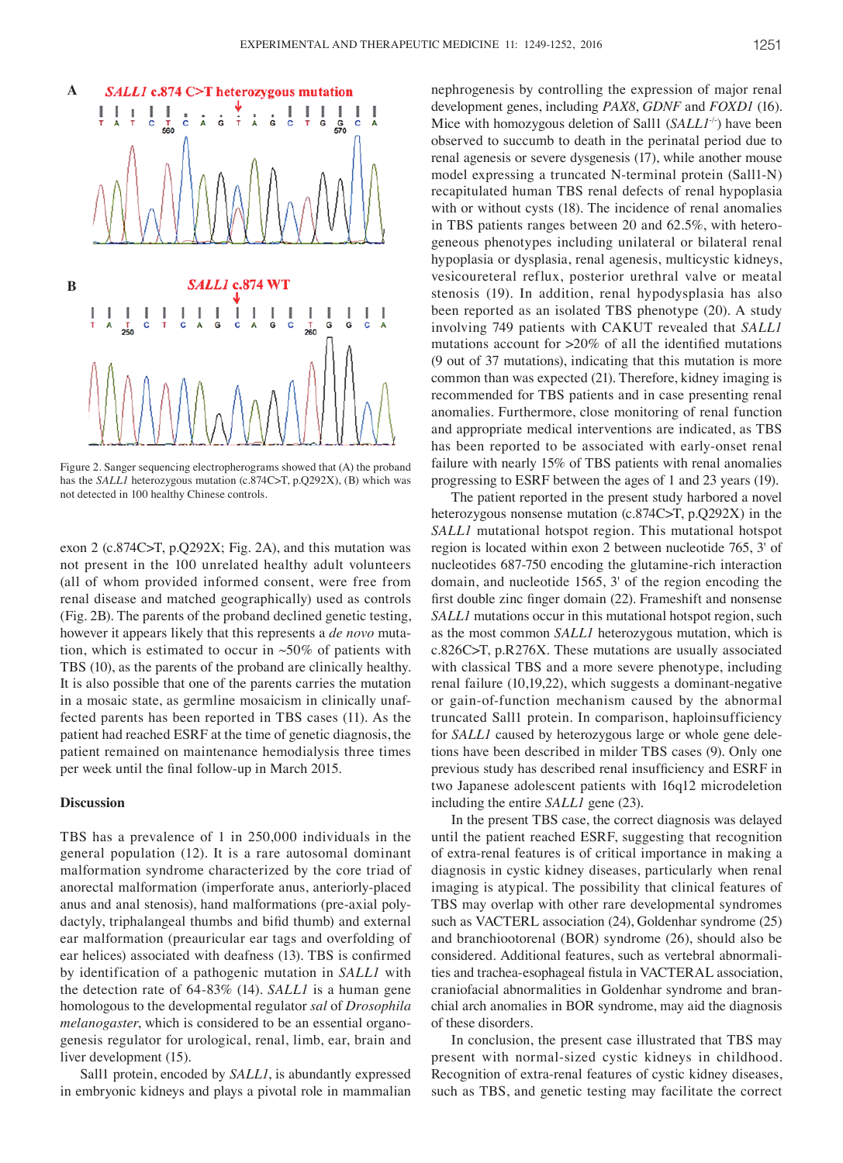

Figure 2. Sanger sequencing electropherograms showed that (A) the proband has the *SALL1* heterozygous mutation (c.874C>T, p.Q292X), (B) which was not detected in 100 healthy Chinese controls.

exon 2 (c.874C>T, p.Q292X; Fig. 2A), and this mutation was not present in the 100 unrelated healthy adult volunteers (all of whom provided informed consent, were free from renal disease and matched geographically) used as controls (Fig. 2B). The parents of the proband declined genetic testing, however it appears likely that this represents a *de novo* mutation, which is estimated to occur in  $~50\%$  of patients with TBS (10), as the parents of the proband are clinically healthy. It is also possible that one of the parents carries the mutation in a mosaic state, as germline mosaicism in clinically unaffected parents has been reported in TBS cases (11). As the patient had reached ESRF at the time of genetic diagnosis, the patient remained on maintenance hemodialysis three times per week until the final follow‑up in March 2015.

## **Discussion**

TBS has a prevalence of 1 in 250,000 individuals in the general population (12). It is a rare autosomal dominant malformation syndrome characterized by the core triad of anorectal malformation (imperforate anus, anteriorly-placed anus and anal stenosis), hand malformations (pre-axial polydactyly, triphalangeal thumbs and bifid thumb) and external ear malformation (preauricular ear tags and overfolding of ear helices) associated with deafness (13). TBS is confirmed by identification of a pathogenic mutation in *SALL1* with the detection rate of 64-83% (14). *SALL1* is a human gene homologous to the developmental regulator *sal* of *Drosophila melanogaster*, which is considered to be an essential organogenesis regulator for urological, renal, limb, ear, brain and liver development (15).

Sall1 protein, encoded by *SALL1*, is abundantly expressed in embryonic kidneys and plays a pivotal role in mammalian nephrogenesis by controlling the expression of major renal development genes, including *PAX8*, *GDNF* and *FOXD1* (16). Mice with homozygous deletion of Sall1 (SALL1<sup>-/-</sup>) have been observed to succumb to death in the perinatal period due to renal agenesis or severe dysgenesis (17), while another mouse model expressing a truncated N-terminal protein (Sall1-N) recapitulated human TBS renal defects of renal hypoplasia with or without cysts (18). The incidence of renal anomalies in TBS patients ranges between 20 and 62.5%, with heterogeneous phenotypes including unilateral or bilateral renal hypoplasia or dysplasia, renal agenesis, multicystic kidneys, vesicoureteral reflux, posterior urethral valve or meatal stenosis (19). In addition, renal hypodysplasia has also been reported as an isolated TBS phenotype (20). A study involving 749 patients with CAKUT revealed that *SALL1* mutations account for >20% of all the identified mutations (9 out of 37 mutations), indicating that this mutation is more common than was expected (21). Therefore, kidney imaging is recommended for TBS patients and in case presenting renal anomalies. Furthermore, close monitoring of renal function and appropriate medical interventions are indicated, as TBS has been reported to be associated with early-onset renal failure with nearly 15% of TBS patients with renal anomalies progressing to ESRF between the ages of 1 and 23 years (19).

The patient reported in the present study harbored a novel heterozygous nonsense mutation (c.874C>T, p.Q292X) in the *SALL1* mutational hotspot region. This mutational hotspot region is located within exon 2 between nucleotide 765, 3' of nucleotides 687-750 encoding the glutamine-rich interaction domain, and nucleotide 1565, 3' of the region encoding the first double zinc finger domain (22). Frameshift and nonsense *SALL1* mutations occur in this mutational hotspot region, such as the most common *SALL1* heterozygous mutation, which is c.826C>T, p.R276X. These mutations are usually associated with classical TBS and a more severe phenotype, including renal failure (10,19,22), which suggests a dominant-negative or gain-of-function mechanism caused by the abnormal truncated Sall1 protein. In comparison, haploinsufficiency for *SALL1* caused by heterozygous large or whole gene deletions have been described in milder TBS cases (9). Only one previous study has described renal insufficiency and ESRF in two Japanese adolescent patients with 16q12 microdeletion including the entire *SALL1* gene (23).

In the present TBS case, the correct diagnosis was delayed until the patient reached ESRF, suggesting that recognition of extra-renal features is of critical importance in making a diagnosis in cystic kidney diseases, particularly when renal imaging is atypical. The possibility that clinical features of TBS may overlap with other rare developmental syndromes such as VACTERL association (24), Goldenhar syndrome (25) and branchiootorenal (BOR) syndrome (26), should also be considered. Additional features, such as vertebral abnormalities and trachea‑esophageal fistula in VACTERAL association, craniofacial abnormalities in Goldenhar syndrome and branchial arch anomalies in BOR syndrome, may aid the diagnosis of these disorders.

In conclusion, the present case illustrated that TBS may present with normal-sized cystic kidneys in childhood. Recognition of extra-renal features of cystic kidney diseases, such as TBS, and genetic testing may facilitate the correct